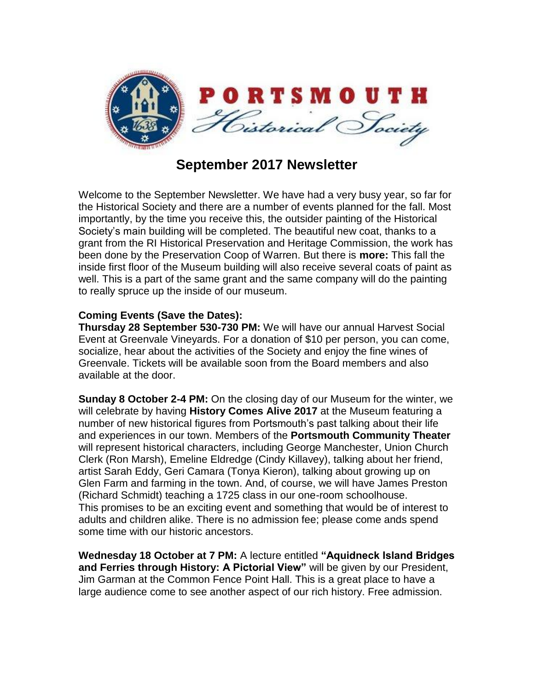

## **September 2017 Newsletter**

Welcome to the September Newsletter. We have had a very busy year, so far for the Historical Society and there are a number of events planned for the fall. Most importantly, by the time you receive this, the outsider painting of the Historical Society's main building will be completed. The beautiful new coat, thanks to a grant from the RI Historical Preservation and Heritage Commission, the work has been done by the Preservation Coop of Warren. But there is **more:** This fall the inside first floor of the Museum building will also receive several coats of paint as well. This is a part of the same grant and the same company will do the painting to really spruce up the inside of our museum.

## **Coming Events (Save the Dates):**

**Thursday 28 September 530-730 PM:** We will have our annual Harvest Social Event at Greenvale Vineyards. For a donation of \$10 per person, you can come, socialize, hear about the activities of the Society and enjoy the fine wines of Greenvale. Tickets will be available soon from the Board members and also available at the door.

**Sunday 8 October 2-4 PM:** On the closing day of our Museum for the winter, we will celebrate by having **History Comes Alive 2017** at the Museum featuring a number of new historical figures from Portsmouth's past talking about their life and experiences in our town. Members of the **Portsmouth Community Theater**  will represent historical characters, including George Manchester, Union Church Clerk (Ron Marsh), Emeline Eldredge (Cindy Killavey), talking about her friend, artist Sarah Eddy, Geri Camara (Tonya Kieron), talking about growing up on Glen Farm and farming in the town. And, of course, we will have James Preston (Richard Schmidt) teaching a 1725 class in our one-room schoolhouse. This promises to be an exciting event and something that would be of interest to adults and children alike. There is no admission fee; please come ands spend some time with our historic ancestors.

**Wednesday 18 October at 7 PM:** A lecture entitled **"Aquidneck Island Bridges and Ferries through History: A Pictorial View"** will be given by our President, Jim Garman at the Common Fence Point Hall. This is a great place to have a large audience come to see another aspect of our rich history. Free admission.